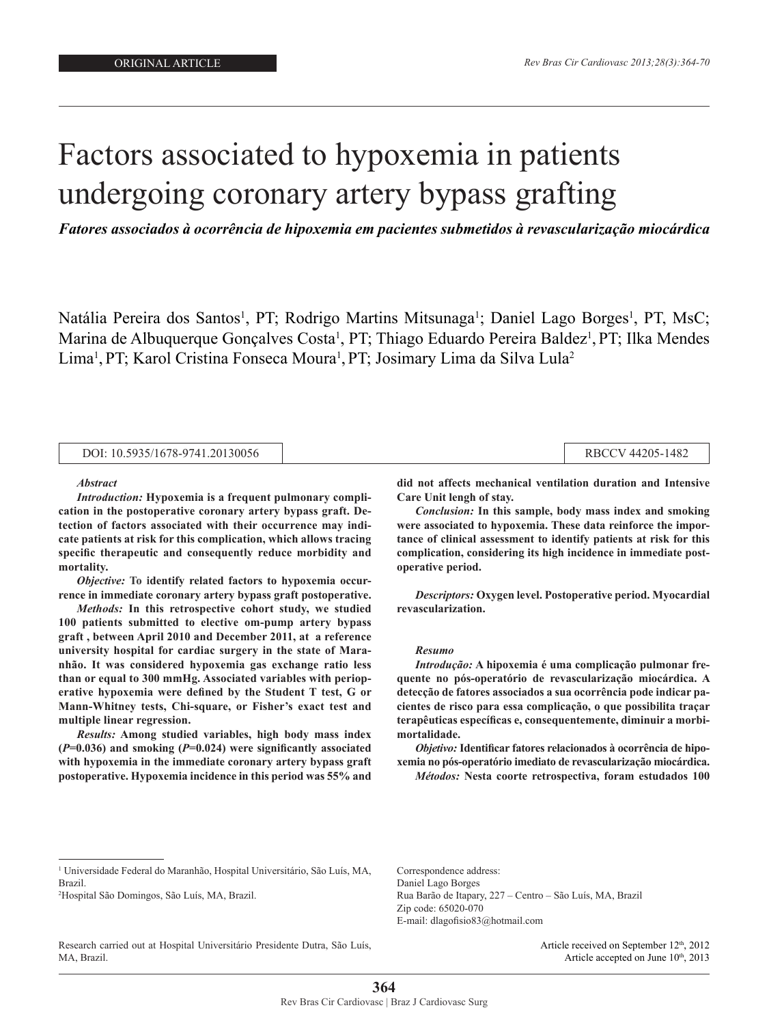coronary artery by particle in the second second second second second second second second second second second second second second second second second second second second second second second second second second secon

# Factors associated to hypoxemia in patients undergoing coronary artery bypass grafting

*Fatores associados à ocorrência de hipoxemia em pacientes submetidos à revascularização miocárdica*

Natália Pereira dos Santos<sup>1</sup>, PT; Rodrigo Martins Mitsunaga<sup>1</sup>; Daniel Lago Borges<sup>1</sup>, PT, MsC; Marina de Albuquerque Gonçalves Costa<sup>1</sup>, PT; Thiago Eduardo Pereira Baldez<sup>1</sup>, PT; Ilka Mendes Lima<sup>1</sup>, PT; Karol Cristina Fonseca Moura<sup>1</sup>, PT; Josimary Lima da Silva Lula<sup>2</sup>

| DOI: 10.5935/1678-9741.20130056 |  | RBCCV 44205-1482 |
|---------------------------------|--|------------------|
|---------------------------------|--|------------------|

#### *Abstract*

*Introduction:* **Hypoxemia is a frequent pulmonary complication in the postoperative coronary artery bypass graft. Detection of factors associated with their occurrence may indicate patients at risk for this complication, which allows tracing specific therapeutic and consequently reduce morbidity and mortality.**

*Objective:* **To identify related factors to hypoxemia occurrence in immediate coronary artery bypass graft postoperative.**

*Methods:* **In this retrospective cohort study, we studied 100 patients submitted to elective om-pump artery bypass graft , between April 2010 and December 2011, at a reference university hospital for cardiac surgery in the state of Maranhão. It was considered hypoxemia gas exchange ratio less than or equal to 300 mmHg. Associated variables with perioperative hypoxemia were defined by the Student T test, G or Mann-Whitney tests, Chi-square, or Fisher's exact test and multiple linear regression.**

*Results:* **Among studied variables, high body mass index (***P***=0.036) and smoking (***P***=0.024) were significantly associated with hypoxemia in the immediate coronary artery bypass graft postoperative. Hypoxemia incidence in this period was 55% and** 

**did not affects mechanical ventilation duration and Intensive Care Unit lengh of stay.**

*Conclusion:* **In this sample, body mass index and smoking were associated to hypoxemia. These data reinforce the importance of clinical assessment to identify patients at risk for this complication, considering its high incidence in immediate postoperative period.**

*Descriptors:* **Oxygen level. Postoperative period. Myocardial revascularization.**

#### *Resumo*

*Introdução:* **A hipoxemia é uma complicação pulmonar frequente no pós-operatório de revascularização miocárdica. A detecção de fatores associados a sua ocorrência pode indicar pacientes de risco para essa complicação, o que possibilita traçar terapêuticas específicas e, consequentemente, diminuir a morbimortalidade.**

*Objetivo:* **Identificar fatores relacionados à ocorrência de hipoxemia no pós-operatório imediato de revascularização miocárdica.** 

*Métodos:* **Nesta coorte retrospectiva, foram estudados 100** 

Research carried out at Hospital Universitário Presidente Dutra, São Luís, MA, Brazil.

Correspondence address: Daniel Lago Borges Rua Barão de Itapary, 227 – Centro – São Luís, MA, Brazil Zip code: 65020-070 E-mail: dlagofisio83@hotmail.com

> Article received on September 12<sup>th</sup>, 2012 Article accepted on June 10<sup>th</sup>, 2013

<sup>1</sup> Universidade Federal do Maranhão, Hospital Universitário, São Luís, MA, Brazil.

<sup>2</sup> Hospital São Domingos, São Luís, MA, Brazil.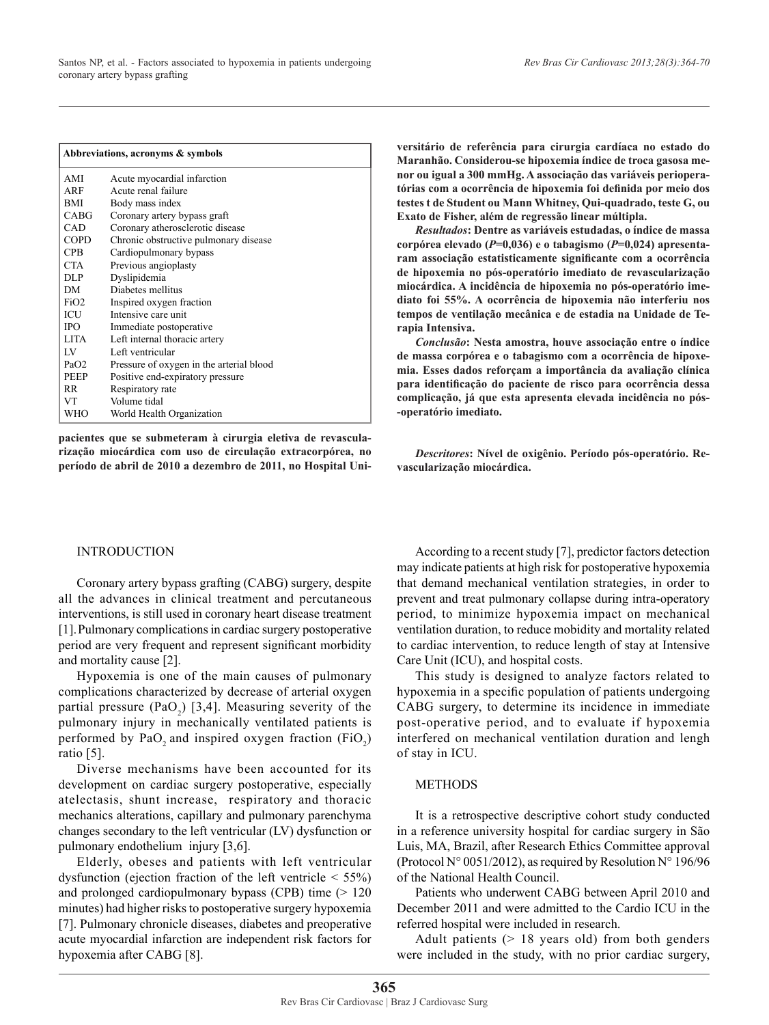|                  | Abbreviations, acronyms & symbols        |
|------------------|------------------------------------------|
| AMI              | Acute myocardial infarction              |
| ARF              | Acute renal failure                      |
| <b>BMI</b>       | Body mass index                          |
| <b>CABG</b>      | Coronary artery bypass graft             |
| CAD              | Coronary atherosclerotic disease         |
| <b>COPD</b>      | Chronic obstructive pulmonary disease    |
| <b>CPB</b>       | Cardiopulmonary bypass                   |
| CTA.             | Previous angioplasty                     |
| <b>DLP</b>       | Dyslipidemia                             |
| DM.              | Diabetes mellitus                        |
| FiO <sub>2</sub> | Inspired oxygen fraction                 |
| ICU              | Intensive care unit                      |
| <b>IPO</b>       | Immediate postoperative                  |
| <b>LITA</b>      | Left internal thoracic artery            |
| $_{\rm LV}$      | Left ventricular                         |
| PaO2             | Pressure of oxygen in the arterial blood |
| <b>PEEP</b>      | Positive end-expiratory pressure         |
| <b>RR</b>        | Respiratory rate                         |
| <b>VT</b>        | Volume tidal                             |
| WHO              | World Health Organization                |

**pacientes que se submeteram à cirurgia eletiva de revascularização miocárdica com uso de circulação extracorpórea, no período de abril de 2010 a dezembro de 2011, no Hospital Uni-** **versitário de referência para cirurgia cardíaca no estado do Maranhão. Considerou-se hipoxemia índice de troca gasosa menor ou igual a 300 mmHg. A associação das variáveis perioperatórias com a ocorrência de hipoxemia foi definida por meio dos testes t de Student ou Mann Whitney, Qui-quadrado, teste G, ou Exato de Fisher, além de regressão linear múltipla.** 

*Resultados***: Dentre as variáveis estudadas, o índice de massa corpórea elevado (***P***=0,036) e o tabagismo (***P***=0,024) apresentaram associação estatisticamente significante com a ocorrência de hipoxemia no pós-operatório imediato de revascularização miocárdica. A incidência de hipoxemia no pós-operatório imediato foi 55%. A ocorrência de hipoxemia não interferiu nos tempos de ventilação mecânica e de estadia na Unidade de Terapia Intensiva.** 

*Conclusão***: Nesta amostra, houve associação entre o índice de massa corpórea e o tabagismo com a ocorrência de hipoxemia. Esses dados reforçam a importância da avaliação clínica para identificação do paciente de risco para ocorrência dessa complicação, já que esta apresenta elevada incidência no pós- -operatório imediato.** 

*Descritores***: Nível de oxigênio. Período pós-operatório. Revascularização miocárdica.**

## INTRODUCTION

Coronary artery bypass grafting (CABG) surgery, despite all the advances in clinical treatment and percutaneous interventions, is still used in coronary heart disease treatment [1].Pulmonary complications in cardiac surgery postoperative period are very frequent and represent significant morbidity and mortality cause [2].

Hypoxemia is one of the main causes of pulmonary complications characterized by decrease of arterial oxygen partial pressure  $(PaO_2)$  [3,4]. Measuring severity of the pulmonary injury in mechanically ventilated patients is performed by  $PaO<sub>2</sub>$  and inspired oxygen fraction (FiO<sub>2</sub>) ratio [5].

Diverse mechanisms have been accounted for its development on cardiac surgery postoperative, especially atelectasis, shunt increase, respiratory and thoracic mechanics alterations, capillary and pulmonary parenchyma changes secondary to the left ventricular (LV) dysfunction or pulmonary endothelium injury [3,6].

Elderly, obeses and patients with left ventricular dysfunction (ejection fraction of the left ventricle  $\leq 55\%$ ) and prolonged cardiopulmonary bypass (CPB) time (> 120 minutes) had higher risks to postoperative surgery hypoxemia [7]. Pulmonary chronicle diseases, diabetes and preoperative acute myocardial infarction are independent risk factors for hypoxemia after CABG [8].

According to a recent study [7], predictor factors detection may indicate patients at high risk for postoperative hypoxemia that demand mechanical ventilation strategies, in order to prevent and treat pulmonary collapse during intra-operatory period, to minimize hypoxemia impact on mechanical ventilation duration, to reduce mobidity and mortality related to cardiac intervention, to reduce length of stay at Intensive Care Unit (ICU), and hospital costs.

This study is designed to analyze factors related to hypoxemia in a specific population of patients undergoing CABG surgery, to determine its incidence in immediate post-operative period, and to evaluate if hypoxemia interfered on mechanical ventilation duration and lengh of stay in ICU.

## METHODS

It is a retrospective descriptive cohort study conducted in a reference university hospital for cardiac surgery in São Luis, MA, Brazil, after Research Ethics Committee approval (Protocol N° 0051/2012), as required by Resolution N° 196/96 of the National Health Council.

Patients who underwent CABG between April 2010 and December 2011 and were admitted to the Cardio ICU in the referred hospital were included in research.

Adult patients  $(> 18$  years old) from both genders were included in the study, with no prior cardiac surgery,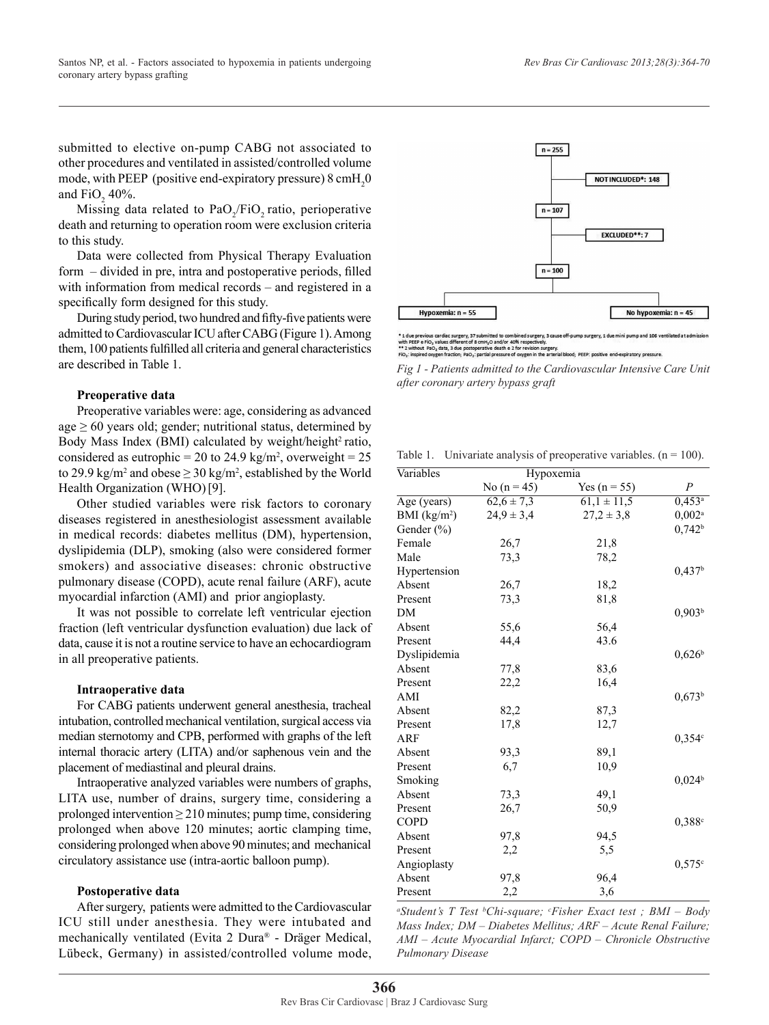submitted to elective on-pump CABG not associated to other procedures and ventilated in assisted/controlled volume mode, with PEEP (positive end-expiratory pressure)  $8 \text{ cm}H_2^0$ and  $FiO_2$  40%.

Missing data related to  $PaO<sub>2</sub>/FiO<sub>2</sub>$  ratio, perioperative death and returning to operation room were exclusion criteria to this study.

Data were collected from Physical Therapy Evaluation form – divided in pre, intra and postoperative periods, filled with information from medical records – and registered in a specifically form designed for this study.

During study period, two hundred and fifty-five patients were admitted to Cardiovascular ICU after CABG (Figure 1). Among them, 100 patients fulfilled all criteria and general characteristics are described in Table 1.

### **Preoperative data**

Preoperative variables were: age, considering as advanced age  $\geq 60$  years old; gender; nutritional status, determined by Body Mass Index (BMI) calculated by weight/height<sup>2</sup> ratio, considered as eutrophic = 20 to 24.9 kg/m<sup>2</sup>, overweight = 25 to 29.9 kg/m<sup>2</sup> and obese  $\geq$  30 kg/m<sup>2</sup>, established by the World Health Organization (WHO)[9].

Other studied variables were risk factors to coronary diseases registered in anesthesiologist assessment available in medical records: diabetes mellitus (DM), hypertension, dyslipidemia (DLP), smoking (also were considered former smokers) and associative diseases: chronic obstructive pulmonary disease (COPD), acute renal failure (ARF), acute myocardial infarction (AMI) and prior angioplasty.

It was not possible to correlate left ventricular ejection fraction (left ventricular dysfunction evaluation) due lack of data, cause it is not a routine service to have an echocardiogram in all preoperative patients.

## **Intraoperative data**

For CABG patients underwent general anesthesia, tracheal intubation, controlled mechanical ventilation, surgical access via median sternotomy and CPB, performed with graphs of the left internal thoracic artery (LITA) and/or saphenous vein and the placement of mediastinal and pleural drains.

Intraoperative analyzed variables were numbers of graphs, LITA use, number of drains, surgery time, considering a prolonged intervention  $\geq$  210 minutes; pump time, considering prolonged when above 120 minutes; aortic clamping time, considering prolonged when above 90 minutes; and mechanical circulatory assistance use (intra-aortic balloon pump).

#### **Postoperative data**

After surgery, patients were admitted to the Cardiovascular ICU still under anesthesia. They were intubated and mechanically ventilated (Evita 2 Dura® - Dräger Medical, Lübeck, Germany) in assisted/controlled volume mode,



\* 1 due previous cardiac surgery, 37 submitted to combined surgery, 3 cause off-pump surgery, 1 due mini pump and 106 ventilated at admissio<br>\*\*\* PPEP e FiO<sub>\*</sub> values different of 8 cmH<sub>3</sub>-0 and/or 40% respectively.<br>\*\* 2 vi

*Fig 1 - Patients admitted to the Cardiovascular Intensive Care Unit* 

*after coronary artery bypass graft*

Table 1. Univariate analysis of preoperative variables.  $(n = 100)$ .

| Variables                 | Hypoxemia      |                  |                      |
|---------------------------|----------------|------------------|----------------------|
|                           | No $(n = 45)$  | Yes ( $n = 55$ ) | $\boldsymbol{P}$     |
| $\overline{Age\ (years)}$ | $62.6 \pm 7.3$ | $61,1 \pm 11,5$  | $0,453^a$            |
| BMI (kg/m <sup>2</sup> )  | $24.9 \pm 3.4$ | $27,2 \pm 3,8$   | $0,002$ <sup>a</sup> |
| Gender $(\% )$            |                |                  | $0,742^b$            |
| Female                    | 26,7           | 21,8             |                      |
| Male                      | 73,3           | 78,2             |                      |
| Hypertension              |                |                  | 0,437 <sup>b</sup>   |
| Absent                    | 26,7           | 18,2             |                      |
| Present                   | 73,3           | 81,8             |                      |
| DM                        |                |                  | 0.903 <sup>b</sup>   |
| Absent                    | 55,6           | 56,4             |                      |
| Present                   | 44,4           | 43.6             |                      |
| Dyslipidemia              |                |                  | $0,626^{\rm b}$      |
| Absent                    | 77,8           | 83,6             |                      |
| Present                   | 22,2           | 16,4             |                      |
| AMI                       |                |                  | $0,673^b$            |
| Absent                    | 82,2           | 87,3             |                      |
| Present                   | 17,8           | 12,7             |                      |
| ARF                       |                |                  | $0,354^{\circ}$      |
| Absent                    | 93,3           | 89,1             |                      |
| Present                   | 6,7            | 10.9             |                      |
| Smoking                   |                |                  | 0,024 <sup>b</sup>   |
| Absent                    | 73,3           | 49,1             |                      |
| Present                   | 26,7           | 50,9             |                      |
| <b>COPD</b>               |                |                  | 0.388c               |
| Absent                    | 97,8           | 94,5             |                      |
| Present                   | 2,2            | 5,5              |                      |
| Angioplasty               |                |                  | $0,575^{\circ}$      |
| Absent                    | 97,8           | 96,4             |                      |
| Present                   | 2,2            | 3,6              |                      |

*a Student's T Test b Chi-square; c Fisher Exact test ; BMI – Body Mass Index; DM – Diabetes Mellitus; ARF – Acute Renal Failure; AMI – Acute Myocardial Infarct; COPD – Chronicle Obstructive Pulmonary Disease*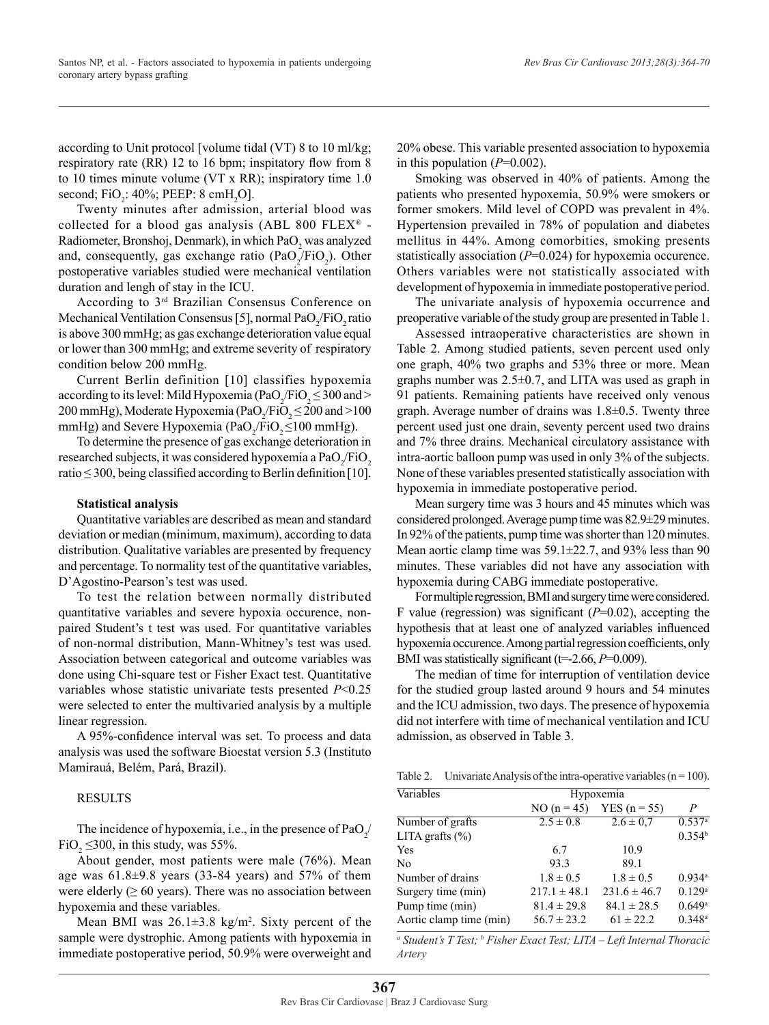according to Unit protocol [volume tidal (VT) 8 to 10 ml/kg; respiratory rate (RR) 12 to 16 bpm; inspitatory flow from 8 to 10 times minute volume (VT x RR); inspiratory time 1.0 second;  $FiO<sub>2</sub>$ : 40%; PEEP: 8 cmH<sub>2</sub>O].

Twenty minutes after admission, arterial blood was collected for a blood gas analysis (ABL 800 FLEX® - Radiometer, Bronshoj, Denmark), in which  $PaO<sub>2</sub>$  was analyzed and, consequently, gas exchange ratio  $(PaO_2/FiO_2)$ . Other postoperative variables studied were mechanical ventilation duration and lengh of stay in the ICU.

According to 3rd Brazilian Consensus Conference on Mechanical Ventilation Consensus [5], normal  $PaO_2/FiO_2$  ratio is above 300 mmHg; as gas exchange deterioration value equal or lower than 300 mmHg; and extreme severity of respiratory condition below 200 mmHg.

Current Berlin definition [10] classifies hypoxemia according to its level: Mild Hypoxemia (PaO<sub>2</sub>/FiO<sub>2</sub>  $\leq$  300 and  $>$ 200 mmHg), Moderate Hypoxemia (PaO<sub>2</sub>/FiO<sub>2</sub>  $\leq$  200 and >100 mmHg) and Severe Hypoxemia (PaO<sub>2</sub>/FiO<sub>2</sub> $\leq$ 100 mmHg).

To determine the presence of gas exchange deterioration in researched subjects, it was considered hypoxemia a  $PaO_2/FiO_2$ ratio  $\leq$  300, being classified according to Berlin definition [10].

### **Statistical analysis**

Quantitative variables are described as mean and standard deviation or median (minimum, maximum), according to data distribution. Qualitative variables are presented by frequency and percentage. To normality test of the quantitative variables, D'Agostino-Pearson's test was used.

To test the relation between normally distributed quantitative variables and severe hypoxia occurence, nonpaired Student's t test was used. For quantitative variables of non-normal distribution, Mann-Whitney's test was used. Association between categorical and outcome variables was done using Chi-square test or Fisher Exact test. Quantitative variables whose statistic univariate tests presented *P*<0.25 were selected to enter the multivaried analysis by a multiple linear regression.

A 95%-confidence interval was set. To process and data analysis was used the software Bioestat version 5.3 (Instituto Mamirauá, Belém, Pará, Brazil).

## RESULTS

The incidence of hypoxemia, i.e., in the presence of  $PaO_2/$  $FiO<sub>2</sub> \le 300$ , in this study, was 55%.

About gender, most patients were male (76%). Mean age was  $61.8\pm9.8$  years (33-84 years) and 57% of them were elderly  $(≥ 60 \text{ years})$ . There was no association between hypoxemia and these variables.

Mean BMI was  $26.1 \pm 3.8$  kg/m<sup>2</sup>. Sixty percent of the sample were dystrophic. Among patients with hypoxemia in immediate postoperative period, 50.9% were overweight and

20% obese. This variable presented association to hypoxemia in this population (*P*=0.002).

Smoking was observed in 40% of patients. Among the patients who presented hypoxemia, 50.9% were smokers or former smokers. Mild level of COPD was prevalent in 4%. Hypertension prevailed in 78% of population and diabetes mellitus in 44%. Among comorbities, smoking presents statistically association (*P*=0.024) for hypoxemia occurence. Others variables were not statistically associated with development of hypoxemia in immediate postoperative period.

The univariate analysis of hypoxemia occurrence and preoperative variable of the study group are presented in Table 1.

Assessed intraoperative characteristics are shown in Table 2. Among studied patients, seven percent used only one graph, 40% two graphs and 53% three or more. Mean graphs number was  $2.5\pm0.7$ , and LITA was used as graph in 91 patients. Remaining patients have received only venous graph. Average number of drains was 1.8±0.5. Twenty three percent used just one drain, seventy percent used two drains and 7% three drains. Mechanical circulatory assistance with intra-aortic balloon pump was used in only 3% of the subjects. None of these variables presented statistically association with hypoxemia in immediate postoperative period.

Mean surgery time was 3 hours and 45 minutes which was considered prolonged. Average pump time was 82.9±29 minutes. In 92% of the patients, pump time was shorter than 120 minutes. Mean aortic clamp time was 59.1±22.7, and 93% less than 90 minutes. These variables did not have any association with hypoxemia during CABG immediate postoperative.

For multiple regression, BMI and surgery time were considered. F value (regression) was significant (*P*=0.02), accepting the hypothesis that at least one of analyzed variables influenced hypoxemia occurence. Among partial regression coefficients, only BMI was statistically significant (t=-2.66, *P*=0.009).

The median of time for interruption of ventilation device for the studied group lasted around 9 hours and 54 minutes and the ICU admission, two days. The presence of hypoxemia did not interfere with time of mechanical ventilation and ICU admission, as observed in Table 3.

|  | Table 2. Univariate Analysis of the intra-operative variables $(n = 100)$ . |  |  |  |  |  |  |  |
|--|-----------------------------------------------------------------------------|--|--|--|--|--|--|--|
|--|-----------------------------------------------------------------------------|--|--|--|--|--|--|--|

| Variables               | Hypoxemia        |                  |                      |
|-------------------------|------------------|------------------|----------------------|
|                         | NO $(n = 45)$    | YES ( $n = 55$ ) | $\overline{P}$       |
| Number of grafts        | $2.5 \pm 0.8$    | $2.6 \pm 0.7$    | $0.537$ <sup>a</sup> |
| LITA grafts $(\% )$     |                  |                  | 0.354 <sup>b</sup>   |
| Yes                     | 6.7              | 10.9             |                      |
| N <sub>0</sub>          | 93.3             | 89.1             |                      |
| Number of drains        | $1.8 \pm 0.5$    | $1.8 \pm 0.5$    | $0.934$ <sup>a</sup> |
| Surgery time (min)      | $217.1 \pm 48.1$ | $231.6 \pm 46.7$ | 0.129a               |
| Pump time (min)         | $81.4 \pm 29.8$  | $84.1 \pm 28.5$  | 0.649a               |
| Aortic clamp time (min) | $56.7 \pm 23.2$  | $61 \pm 22.2$    | $0.348$ <sup>a</sup> |

<sup>a</sup> Student's T Test; <sup>b</sup> Fisher Exact Test; LITA – Left Internal Thoracic *Artery*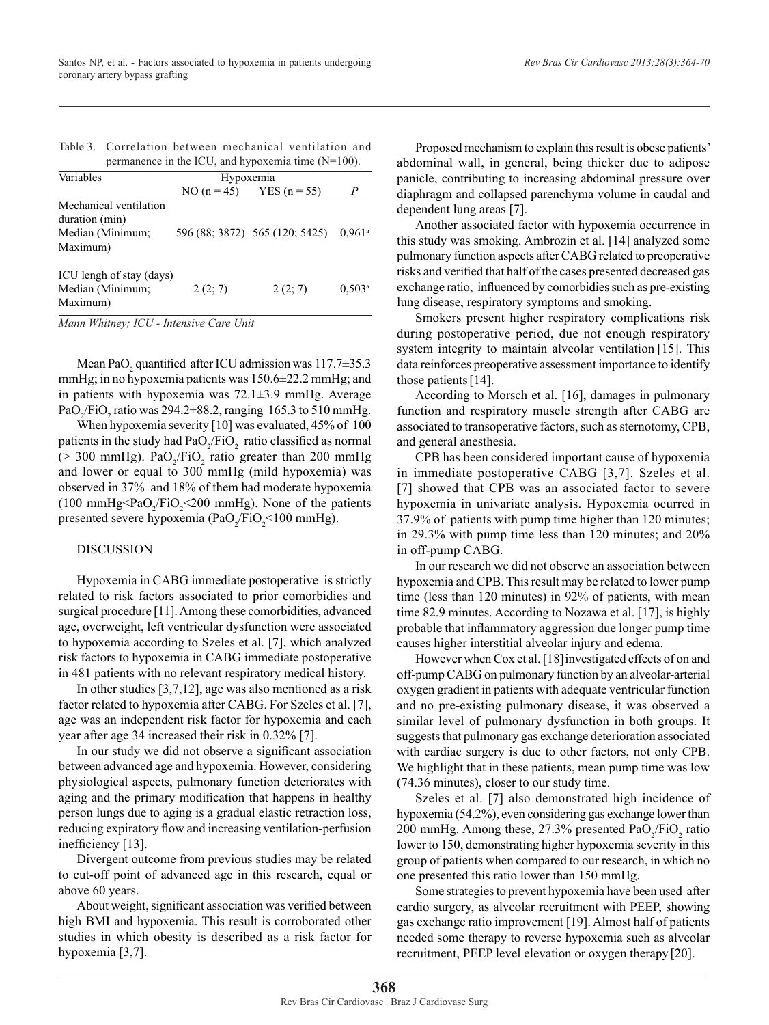| Table 3. Correlation between mechanical ventilation and |  |  |
|---------------------------------------------------------|--|--|
| permanence in the ICU, and hypoxemia time $(N=100)$ .   |  |  |

| Variables                | Hypoxemia |                                |                      |
|--------------------------|-----------|--------------------------------|----------------------|
|                          |           | NO $(n = 45)$ YES $(n = 55)$   | P                    |
| Mechanical ventilation   |           |                                |                      |
| duration (min)           |           |                                |                      |
| Median (Minimum;         |           | 596 (88; 3872) 565 (120; 5425) | $0.961$ <sup>a</sup> |
| Maximum)                 |           |                                |                      |
| ICU lengh of stay (days) |           |                                |                      |
| Median (Minimum;         | 2(2; 7)   | 2(2; 7)                        | $0.503^{\rm a}$      |
| Maximum)                 |           |                                |                      |

*Mann Whitney; ICU - Intensive Care Unit*

Mean PaO<sub>2</sub> quantified after ICU admission was  $117.7\pm35.3$ mmHg; in no hypoxemia patients was 150.6±22.2 mmHg; and in patients with hypoxemia was 72.1±3.9 mmHg. Average PaO<sub>2</sub>/FiO<sub>2</sub> ratio was 294.2 $\pm$ 88.2, ranging 165.3 to 510 mmHg.

When hypoxemia severity [10] was evaluated, 45% of 100 patients in the study had  $PaO_2/FiO_2$  ratio classified as normal  $(> 300 \text{ mmHg})$ . PaO<sub>2</sub>/FiO<sub>2</sub> ratio greater than 200 mmHg and lower or equal to 300 mmHg (mild hypoxemia) was observed in 37% and 18% of them had moderate hypoxemia  $(100 \text{ mmHg} < PaO_2/\text{FiO}_2 < 200 \text{ mmHg})$ . None of the patients presented severe hypoxemia (Pa $O_2$ /Fi $O_2$ <100 mmHg).

#### DISCUSSION

Hypoxemia in CABG immediate postoperative is strictly related to risk factors associated to prior comorbidies and surgical procedure [11]. Among these comorbidities, advanced age, overweight, left ventricular dysfunction were associated to hypoxemia according to Szeles et al. [7], which analyzed risk factors to hypoxemia in CABG immediate postoperative in 481 patients with no relevant respiratory medical history.

In other studies [3,7,12], age was also mentioned as a risk factor related to hypoxemia after CABG. For Szeles et al. [7], age was an independent risk factor for hypoxemia and each year after age 34 increased their risk in 0.32% [7].

In our study we did not observe a significant association between advanced age and hypoxemia. However, considering physiological aspects, pulmonary function deteriorates with aging and the primary modification that happens in healthy person lungs due to aging is a gradual elastic retraction loss, reducing expiratory flow and increasing ventilation-perfusion inefficiency [13].

Divergent outcome from previous studies may be related to cut-off point of advanced age in this research, equal or above 60 years.

About weight, significant association was verified between high BMI and hypoxemia. This result is corroborated other studies in which obesity is described as a risk factor for hypoxemia [3,7].

Proposed mechanism to explain this result is obese patients' abdominal wall, in general, being thicker due to adipose panicle, contributing to increasing abdominal pressure over diaphragm and collapsed parenchyma volume in caudal and dependent lung areas [7].

Another associated factor with hypoxemia occurrence in this study was smoking. Ambrozin et al. [14] analyzed some pulmonary function aspects after CABG related to preoperative risks and verified that half of the cases presented decreased gas exchange ratio, influenced by comorbidies such as pre-existing lung disease, respiratory symptoms and smoking.

Smokers present higher respiratory complications risk during postoperative period, due not enough respiratory system integrity to maintain alveolar ventilation [15]. This data reinforces preoperative assessment importance to identify those patients [14].

According to Morsch et al. [16], damages in pulmonary function and respiratory muscle strength after CABG are associated to transoperative factors, such as sternotomy, CPB, and general anesthesia.

CPB has been considered important cause of hypoxemia in immediate postoperative CABG [3,7]. Szeles et al. [7] showed that CPB was an associated factor to severe hypoxemia in univariate analysis. Hypoxemia ocurred in 37.9% of patients with pump time higher than 120 minutes; in 29.3% with pump time less than 120 minutes; and 20% in off-pump CABG.

In our research we did not observe an association between hypoxemia and CPB. This result may be related to lower pump time (less than 120 minutes) in 92% of patients, with mean time 82.9 minutes. According to Nozawa et al. [17], is highly probable that inflammatory aggression due longer pump time causes higher interstitial alveolar injury and edema.

However when Cox et al. [18]investigated effects of on and off-pump CABG on pulmonary function by an alveolar-arterial oxygen gradient in patients with adequate ventricular function and no pre-existing pulmonary disease, it was observed a similar level of pulmonary dysfunction in both groups. It suggests that pulmonary gas exchange deterioration associated with cardiac surgery is due to other factors, not only CPB. We highlight that in these patients, mean pump time was low (74.36 minutes), closer to our study time.

Szeles et al. [7] also demonstrated high incidence of hypoxemia (54.2%), even considering gas exchange lower than 200 mmHg. Among these,  $27.3\%$  presented  $PaO<sub>2</sub>/FiO<sub>2</sub>$  ratio lower to 150, demonstrating higher hypoxemia severity in this group of patients when compared to our research, in which no one presented this ratio lower than 150 mmHg.

Some strategies to prevent hypoxemia have been used after cardio surgery, as alveolar recruitment with PEEP, showing gas exchange ratio improvement [19]. Almost half of patients needed some therapy to reverse hypoxemia such as alveolar recruitment, PEEP level elevation or oxygen therapy [20].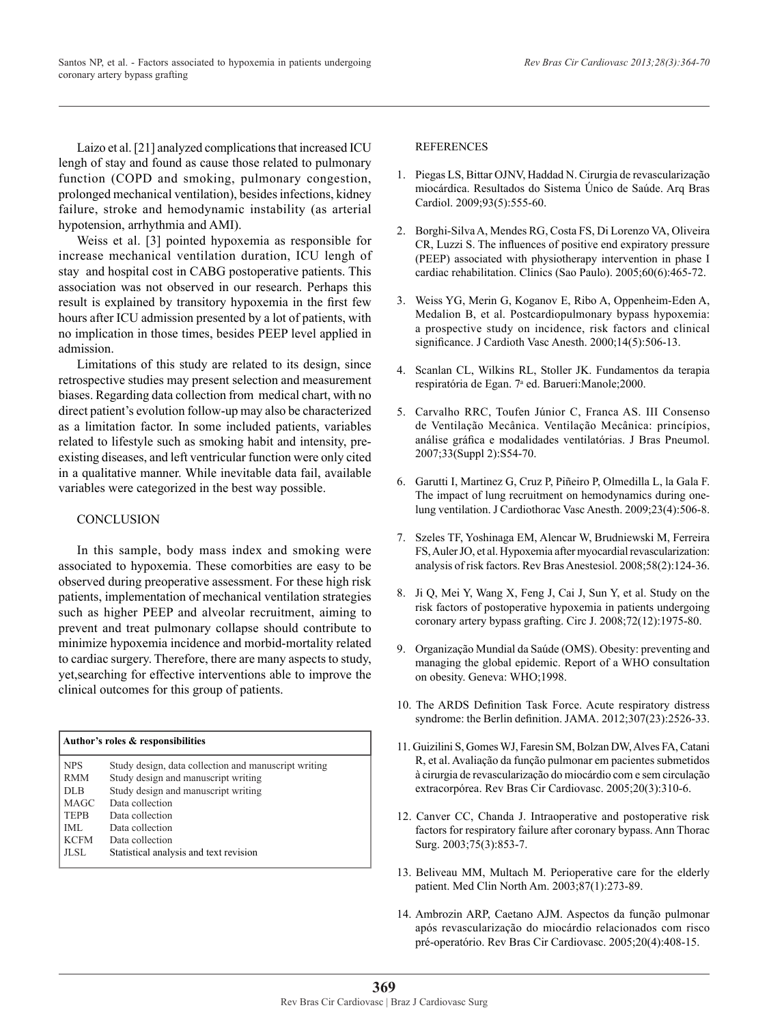Laizo et al. [21] analyzed complications that increased ICU lengh of stay and found as cause those related to pulmonary function (COPD and smoking, pulmonary congestion, prolonged mechanical ventilation), besides infections, kidney failure, stroke and hemodynamic instability (as arterial hypotension, arrhythmia and AMI).

Weiss et al. [3] pointed hypoxemia as responsible for increase mechanical ventilation duration, ICU lengh of stay and hospital cost in CABG postoperative patients. This association was not observed in our research. Perhaps this result is explained by transitory hypoxemia in the first few hours after ICU admission presented by a lot of patients, with no implication in those times, besides PEEP level applied in admission.

Limitations of this study are related to its design, since retrospective studies may present selection and measurement biases. Regarding data collection from medical chart, with no direct patient's evolution follow-up may also be characterized as a limitation factor. In some included patients, variables related to lifestyle such as smoking habit and intensity, preexisting diseases, and left ventricular function were only cited in a qualitative manner. While inevitable data fail, available variables were categorized in the best way possible.

## **CONCLUSION**

In this sample, body mass index and smoking were associated to hypoxemia. These comorbities are easy to be observed during preoperative assessment. For these high risk patients, implementation of mechanical ventilation strategies such as higher PEEP and alveolar recruitment, aiming to prevent and treat pulmonary collapse should contribute to minimize hypoxemia incidence and morbid-mortality related to cardiac surgery. Therefore, there are many aspects to study, yet,searching for effective interventions able to improve the clinical outcomes for this group of patients.

| Author's roles & responsibilities |                                                      |  |
|-----------------------------------|------------------------------------------------------|--|
| <b>NPS</b>                        | Study design, data collection and manuscript writing |  |
| <b>RMM</b>                        | Study design and manuscript writing                  |  |
| DLB                               | Study design and manuscript writing                  |  |
| <b>MAGC</b>                       | Data collection                                      |  |
| <b>TEPB</b>                       | Data collection                                      |  |
| IML                               | Data collection                                      |  |
| <b>KCFM</b>                       | Data collection                                      |  |
| JL SL                             | Statistical analysis and text revision               |  |

## REFERENCES

- 1. Piegas LS, Bittar OJNV, Haddad N. Cirurgia de revascularização miocárdica. Resultados do Sistema Único de Saúde. Arq Bras Cardiol. 2009;93(5):555-60.
- 2. Borghi-Silva A, Mendes RG, Costa FS, Di Lorenzo VA, Oliveira CR, Luzzi S. The influences of positive end expiratory pressure (PEEP) associated with physiotherapy intervention in phase I cardiac rehabilitation. Clinics (Sao Paulo). 2005;60(6):465-72.
- 3. Weiss YG, Merin G, Koganov E, Ribo A, Oppenheim-Eden A, Medalion B, et al. Postcardiopulmonary bypass hypoxemia: a prospective study on incidence, risk factors and clinical significance. J Cardioth Vasc Anesth. 2000;14(5):506-13.
- 4. Scanlan CL, Wilkins RL, Stoller JK. Fundamentos da terapia respiratória de Egan. 7ª ed. Barueri:Manole;2000.
- 5. Carvalho RRC, Toufen Júnior C, Franca AS. III Consenso de Ventilação Mecânica. Ventilação Mecânica: princípios, análise gráfica e modalidades ventilatórias. J Bras Pneumol. 2007;33(Suppl 2):S54-70.
- 6. Garutti I, Martinez G, Cruz P, Piñeiro P, Olmedilla L, la Gala F. The impact of lung recruitment on hemodynamics during onelung ventilation. J Cardiothorac Vasc Anesth. 2009;23(4):506-8.
- 7. Szeles TF, Yoshinaga EM, Alencar W, Brudniewski M, Ferreira FS, Auler JO, et al. Hypoxemia after myocardial revascularization: analysis of risk factors. Rev Bras Anestesiol. 2008;58(2):124-36.
- 8. Ji Q, Mei Y, Wang X, Feng J, Cai J, Sun Y, et al. Study on the risk factors of postoperative hypoxemia in patients undergoing coronary artery bypass grafting. Circ J. 2008;72(12):1975-80.
- 9. Organização Mundial da Saúde (OMS). Obesity: preventing and managing the global epidemic. Report of a WHO consultation on obesity. Geneva: WHO;1998.
- 10. The ARDS Definition Task Force. Acute respiratory distress syndrome: the Berlin definition. JAMA. 2012;307(23):2526-33.
- 11. Guizilini S, Gomes WJ, Faresin SM, Bolzan DW, Alves FA, Catani R, et al. Avaliação da função pulmonar em pacientes submetidos à cirurgia de revascularização do miocárdio com e sem circulação extracorpórea. Rev Bras Cir Cardiovasc. 2005;20(3):310-6.
- 12. Canver CC, Chanda J. Intraoperative and postoperative risk factors for respiratory failure after coronary bypass. Ann Thorac Surg. 2003;75(3):853-7.
- 13. Beliveau MM, Multach M. Perioperative care for the elderly patient. Med Clin North Am. 2003;87(1):273-89.
- 14. Ambrozin ARP, Caetano AJM. Aspectos da função pulmonar após revascularização do miocárdio relacionados com risco pré-operatório. Rev Bras Cir Cardiovasc. 2005;20(4):408-15.